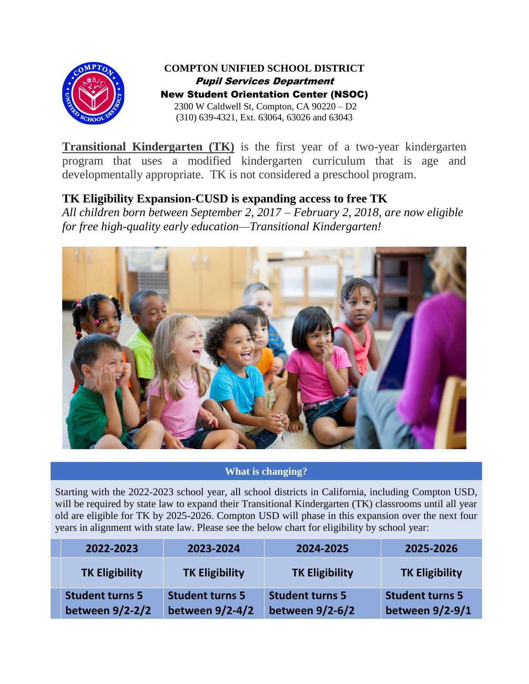

**COMPTON UNIFIED SCHOOL DISTRICT** Pupil Services Department New Student Orientation Center (NSOC) 2300 W Caldwell St, Compton, CA 90220 – D2 (310) 639-4321, Ext. 63064, 63026 and 63043

**Transitional Kindergarten (TK)** is the first year of a two-year kindergarten program that uses a modified kindergarten curriculum that is age and developmentally appropriate. TK is not considered a preschool program.

# **TK Eligibility Expansion-CUSD is expanding access to free TK**

*All children born between September 2, 2017 – February 2, 2018, are now eligible for free high-quality early education—Transitional Kindergarten!*



## **What is changing?**

Starting with the 2022-2023 school year, all school districts in California, including Compton USD, will be required by state law to expand their Transitional Kindergarten *(TK)* classrooms until all year old are eligible for TK by 2025-2026. Compton USD will phase in this expansion over the next four years in alignment with state law. Please see the below chart for eligibility by school year:

| 2022-2023                                 | 2023-2024                                 | 2024-2025                                 | 2025-2026                                 |
|-------------------------------------------|-------------------------------------------|-------------------------------------------|-------------------------------------------|
| <b>TK Eligibility</b>                     | <b>TK Eligibility</b>                     | <b>TK Eligibility</b>                     | <b>TK Eligibility</b>                     |
| <b>Student turns 5</b><br>between 9/2-2/2 | <b>Student turns 5</b><br>between 9/2-4/2 | <b>Student turns 5</b><br>between 9/2-6/2 | <b>Student turns 5</b><br>between 9/2-9/1 |